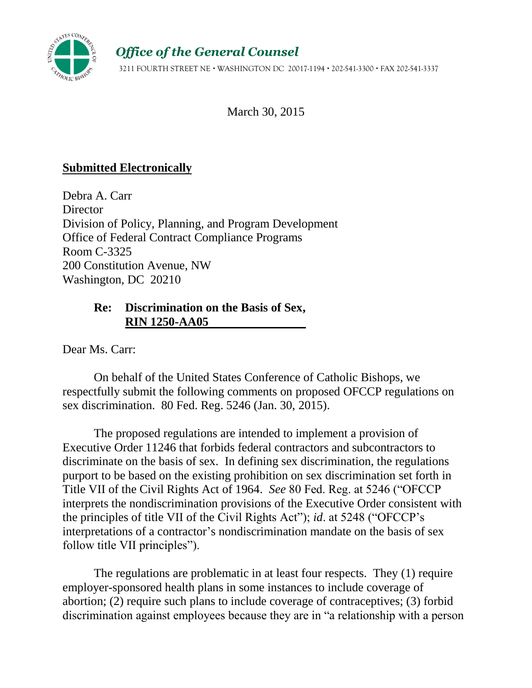

*Office of the General Counsel*

3211 FOURTH STREET NE WASHINGTON DC 20017-1194 202-541-3300 FAX 202-541-3337

March 30, 2015

# **Submitted Electronically**

Debra A. Carr **Director** Division of Policy, Planning, and Program Development Office of Federal Contract Compliance Programs Room C-3325 200 Constitution Avenue, NW Washington, DC 20210

# **Re: Discrimination on the Basis of Sex, RIN 1250-AA05**

Dear Ms. Carr:

On behalf of the United States Conference of Catholic Bishops, we respectfully submit the following comments on proposed OFCCP regulations on sex discrimination. 80 Fed. Reg. 5246 (Jan. 30, 2015).

The proposed regulations are intended to implement a provision of Executive Order 11246 that forbids federal contractors and subcontractors to discriminate on the basis of sex. In defining sex discrimination, the regulations purport to be based on the existing prohibition on sex discrimination set forth in Title VII of the Civil Rights Act of 1964. *See* 80 Fed. Reg. at 5246 ("OFCCP interprets the nondiscrimination provisions of the Executive Order consistent with the principles of title VII of the Civil Rights Act"); *id*. at 5248 ("OFCCP's interpretations of a contractor's nondiscrimination mandate on the basis of sex follow title VII principles").

The regulations are problematic in at least four respects. They (1) require employer-sponsored health plans in some instances to include coverage of abortion; (2) require such plans to include coverage of contraceptives; (3) forbid discrimination against employees because they are in "a relationship with a person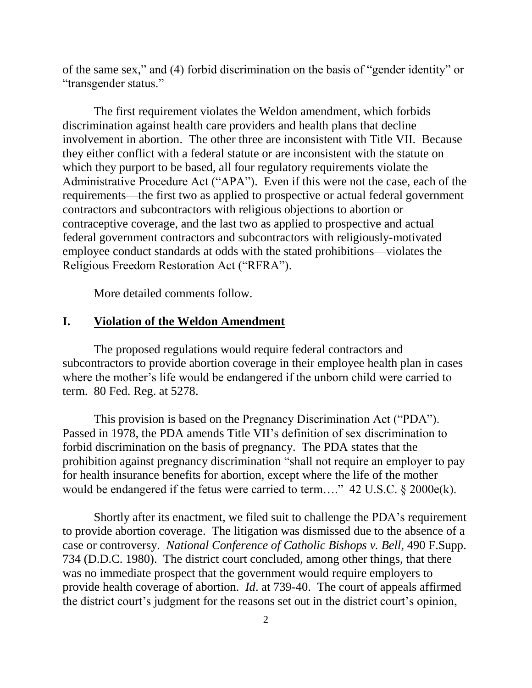of the same sex," and (4) forbid discrimination on the basis of "gender identity" or "transgender status."

The first requirement violates the Weldon amendment, which forbids discrimination against health care providers and health plans that decline involvement in abortion. The other three are inconsistent with Title VII. Because they either conflict with a federal statute or are inconsistent with the statute on which they purport to be based, all four regulatory requirements violate the Administrative Procedure Act ("APA"). Even if this were not the case, each of the requirements—the first two as applied to prospective or actual federal government contractors and subcontractors with religious objections to abortion or contraceptive coverage, and the last two as applied to prospective and actual federal government contractors and subcontractors with religiously-motivated employee conduct standards at odds with the stated prohibitions—violates the Religious Freedom Restoration Act ("RFRA").

More detailed comments follow.

## **I. Violation of the Weldon Amendment**

The proposed regulations would require federal contractors and subcontractors to provide abortion coverage in their employee health plan in cases where the mother's life would be endangered if the unborn child were carried to term. 80 Fed. Reg. at 5278.

This provision is based on the Pregnancy Discrimination Act ("PDA"). Passed in 1978, the PDA amends Title VII's definition of sex discrimination to forbid discrimination on the basis of pregnancy. The PDA states that the prohibition against pregnancy discrimination "shall not require an employer to pay for health insurance benefits for abortion, except where the life of the mother would be endangered if the fetus were carried to term...." 42 U.S.C. § 2000e(k).

Shortly after its enactment, we filed suit to challenge the PDA's requirement to provide abortion coverage. The litigation was dismissed due to the absence of a case or controversy. *National Conference of Catholic Bishops v. Bell*, 490 F.Supp. 734 (D.D.C. 1980). The district court concluded, among other things, that there was no immediate prospect that the government would require employers to provide health coverage of abortion. *Id*. at 739-40. The court of appeals affirmed the district court's judgment for the reasons set out in the district court's opinion,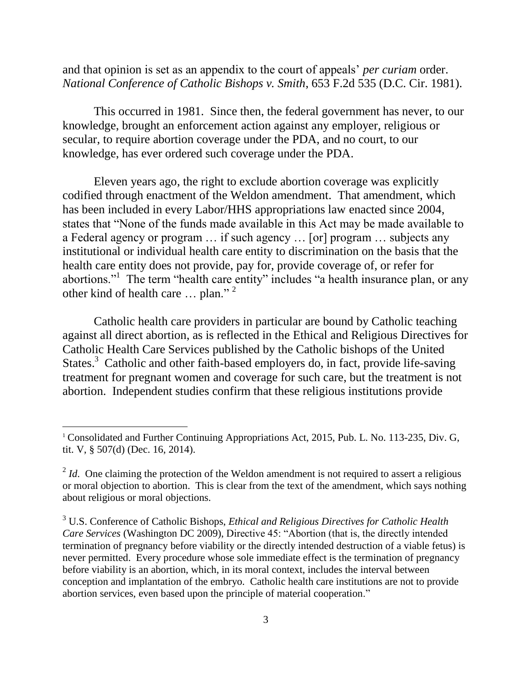and that opinion is set as an appendix to the court of appeals' *per curiam* order. *National Conference of Catholic Bishops v. Smith*, 653 F.2d 535 (D.C. Cir. 1981).

This occurred in 1981. Since then, the federal government has never, to our knowledge, brought an enforcement action against any employer, religious or secular, to require abortion coverage under the PDA, and no court, to our knowledge, has ever ordered such coverage under the PDA.

Eleven years ago, the right to exclude abortion coverage was explicitly codified through enactment of the Weldon amendment. That amendment, which has been included in every Labor/HHS appropriations law enacted since 2004, states that "None of the funds made available in this Act may be made available to a Federal agency or program … if such agency … [or] program … subjects any institutional or individual health care entity to discrimination on the basis that the health care entity does not provide, pay for, provide coverage of, or refer for abortions."<sup>1</sup> The term "health care entity" includes "a health insurance plan, or any other kind of health care ... plan."<sup>2</sup>

Catholic health care providers in particular are bound by Catholic teaching against all direct abortion, as is reflected in the Ethical and Religious Directives for Catholic Health Care Services published by the Catholic bishops of the United States.<sup>3</sup> Catholic and other faith-based employers do, in fact, provide life-saving treatment for pregnant women and coverage for such care, but the treatment is not abortion. Independent studies confirm that these religious institutions provide

<sup>&</sup>lt;sup>1</sup> Consolidated and Further Continuing Appropriations Act, 2015, Pub. L. No. 113-235, Div. G, tit. V, § 507(d) (Dec. 16, 2014).

 $2<sup>2</sup>$  *Id*. One claiming the protection of the Weldon amendment is not required to assert a religious or moral objection to abortion. This is clear from the text of the amendment, which says nothing about religious or moral objections.

<sup>3</sup> U.S. Conference of Catholic Bishops, *Ethical and Religious Directives for Catholic Health Care Services* (Washington DC 2009), Directive 45: "Abortion (that is, the directly intended termination of pregnancy before viability or the directly intended destruction of a viable fetus) is never permitted. Every procedure whose sole immediate effect is the termination of pregnancy before viability is an abortion, which, in its moral context, includes the interval between conception and implantation of the embryo. Catholic health care institutions are not to provide abortion services, even based upon the principle of material cooperation."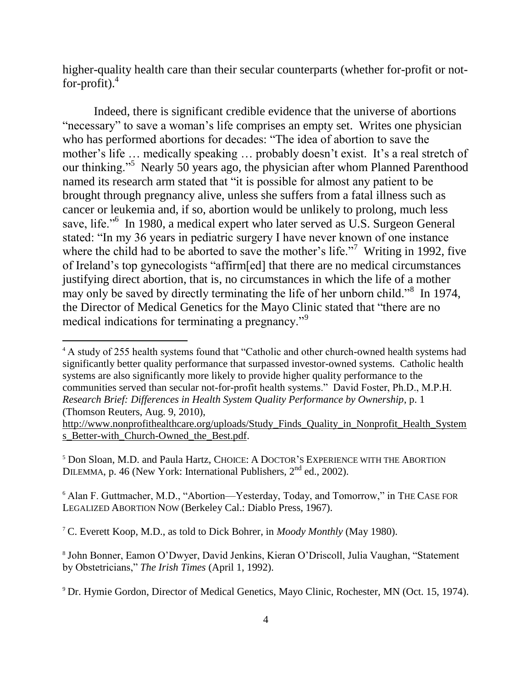higher-quality health care than their secular counterparts (whether for-profit or notfor-profit). 4

Indeed, there is significant credible evidence that the universe of abortions "necessary" to save a woman's life comprises an empty set. Writes one physician who has performed abortions for decades: "The idea of abortion to save the mother's life … medically speaking … probably doesn't exist. It's a real stretch of our thinking."<sup>5</sup> Nearly 50 years ago, the physician after whom Planned Parenthood named its research arm stated that "it is possible for almost any patient to be brought through pregnancy alive, unless she suffers from a fatal illness such as cancer or leukemia and, if so, abortion would be unlikely to prolong, much less save, life."<sup>6</sup> In 1980, a medical expert who later served as U.S. Surgeon General stated: "In my 36 years in pediatric surgery I have never known of one instance where the child had to be aborted to save the mother's life."<sup>7</sup> Writing in 1992, five of Ireland's top gynecologists "affirm[ed] that there are no medical circumstances justifying direct abortion, that is, no circumstances in which the life of a mother may only be saved by directly terminating the life of her unborn child."<sup>8</sup> In 1974, the Director of Medical Genetics for the Mayo Clinic stated that "there are no medical indications for terminating a pregnancy."<sup>9</sup>

<sup>5</sup> Don Sloan, M.D. and Paula Hartz, CHOICE: A DOCTOR'S EXPERIENCE WITH THE ABORTION DILEMMA, p. 46 (New York: International Publishers,  $2<sup>nd</sup>$  ed., 2002).

<sup>6</sup> Alan F. Guttmacher, M.D., "Abortion—Yesterday, Today, and Tomorrow," in THE CASE FOR LEGALIZED ABORTION NOW (Berkeley Cal.: Diablo Press, 1967).

<sup>7</sup> C. Everett Koop, M.D., as told to Dick Bohrer, in *Moody Monthly* (May 1980).

 $\overline{a}$ 

8 John Bonner, Eamon O'Dwyer, David Jenkins, Kieran O'Driscoll, Julia Vaughan, "Statement by Obstetricians," *The Irish Times* (April 1, 1992).

<sup>&</sup>lt;sup>4</sup> A study of 255 health systems found that "Catholic and other church-owned health systems had significantly better quality performance that surpassed investor-owned systems. Catholic health systems are also significantly more likely to provide higher quality performance to the communities served than secular not-for-profit health systems." David Foster, Ph.D., M.P.H. *Research Brief: Differences in Health System Quality Performance by Ownership*, p. 1 (Thomson Reuters, Aug. 9, 2010),

[http://www.nonprofithealthcare.org/uploads/Study\\_Finds\\_Quality\\_in\\_Nonprofit\\_Health\\_System](http://www.nonprofithealthcare.org/uploads/Study_Finds_Quality_in_Nonprofit_Health_Systems_Better-with_Church-Owned_the_Best.pdf) s Better-with Church-Owned the Best.pdf.

<sup>&</sup>lt;sup>9</sup> Dr. Hymie Gordon, Director of Medical Genetics, Mayo Clinic, Rochester, MN (Oct. 15, 1974).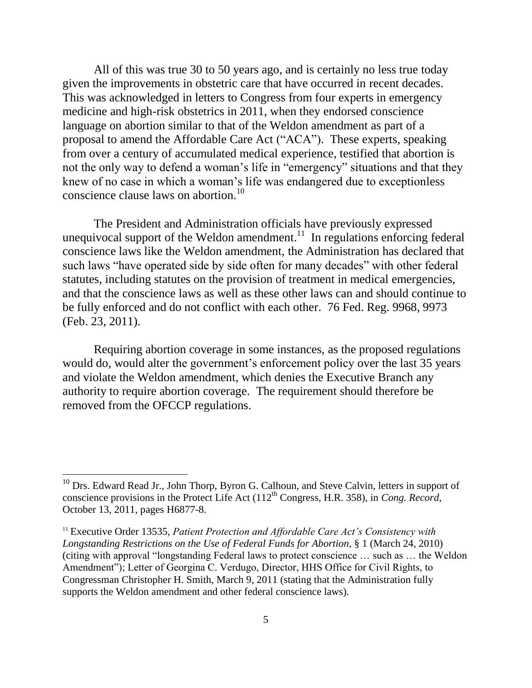All of this was true 30 to 50 years ago, and is certainly no less true today given the improvements in obstetric care that have occurred in recent decades. This was acknowledged in letters to Congress from four experts in emergency medicine and high-risk obstetrics in 2011, when they endorsed conscience language on abortion similar to that of the Weldon amendment as part of a proposal to amend the Affordable Care Act ("ACA"). These experts, speaking from over a century of accumulated medical experience, testified that abortion is not the only way to defend a woman's life in "emergency" situations and that they knew of no case in which a woman's life was endangered due to exceptionless conscience clause laws on abortion.<sup>10</sup>

The President and Administration officials have previously expressed unequivocal support of the Weldon amendment.<sup>11</sup> In regulations enforcing federal conscience laws like the Weldon amendment, the Administration has declared that such laws "have operated side by side often for many decades" with other federal statutes, including statutes on the provision of treatment in medical emergencies, and that the conscience laws as well as these other laws can and should continue to be fully enforced and do not conflict with each other. 76 Fed. Reg. 9968, 9973 (Feb. 23, 2011).

Requiring abortion coverage in some instances, as the proposed regulations would do, would alter the government's enforcement policy over the last 35 years and violate the Weldon amendment, which denies the Executive Branch any authority to require abortion coverage. The requirement should therefore be removed from the OFCCP regulations.

 $10$  Drs. Edward Read Jr., John Thorp, Byron G. Calhoun, and Steve Calvin, letters in support of conscience provisions in the Protect Life Act (112<sup>th</sup> Congress, H.R. 358), in *Cong. Record*, October 13, 2011, pages H6877-8.

<sup>&</sup>lt;sup>11</sup> Executive Order 13535, *Patient Protection and Affordable Care Act's Consistency with Longstanding Restrictions on the Use of Federal Funds for Abortion*, § 1 (March 24, 2010) (citing with approval "longstanding Federal laws to protect conscience … such as … the Weldon Amendment"); Letter of Georgina C. Verdugo, Director, HHS Office for Civil Rights, to Congressman Christopher H. Smith, March 9, 2011 (stating that the Administration fully supports the Weldon amendment and other federal conscience laws).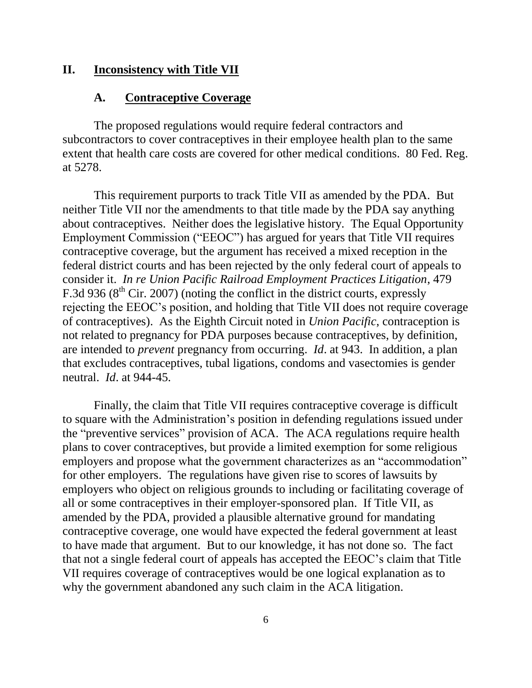## **II. Inconsistency with Title VII**

#### **A. Contraceptive Coverage**

The proposed regulations would require federal contractors and subcontractors to cover contraceptives in their employee health plan to the same extent that health care costs are covered for other medical conditions. 80 Fed. Reg. at 5278.

This requirement purports to track Title VII as amended by the PDA. But neither Title VII nor the amendments to that title made by the PDA say anything about contraceptives. Neither does the legislative history. The Equal Opportunity Employment Commission ("EEOC") has argued for years that Title VII requires contraceptive coverage, but the argument has received a mixed reception in the federal district courts and has been rejected by the only federal court of appeals to consider it. *In re Union Pacific Railroad Employment Practices Litigation*, 479 F.3d 936 ( $8<sup>th</sup>$  Cir. 2007) (noting the conflict in the district courts, expressly rejecting the EEOC's position, and holding that Title VII does not require coverage of contraceptives). As the Eighth Circuit noted in *Union Pacific*, contraception is not related to pregnancy for PDA purposes because contraceptives, by definition, are intended to *prevent* pregnancy from occurring. *Id*. at 943. In addition, a plan that excludes contraceptives, tubal ligations, condoms and vasectomies is gender neutral. *Id*. at 944-45.

Finally, the claim that Title VII requires contraceptive coverage is difficult to square with the Administration's position in defending regulations issued under the "preventive services" provision of ACA. The ACA regulations require health plans to cover contraceptives, but provide a limited exemption for some religious employers and propose what the government characterizes as an "accommodation" for other employers. The regulations have given rise to scores of lawsuits by employers who object on religious grounds to including or facilitating coverage of all or some contraceptives in their employer-sponsored plan. If Title VII, as amended by the PDA, provided a plausible alternative ground for mandating contraceptive coverage, one would have expected the federal government at least to have made that argument. But to our knowledge, it has not done so. The fact that not a single federal court of appeals has accepted the EEOC's claim that Title VII requires coverage of contraceptives would be one logical explanation as to why the government abandoned any such claim in the ACA litigation.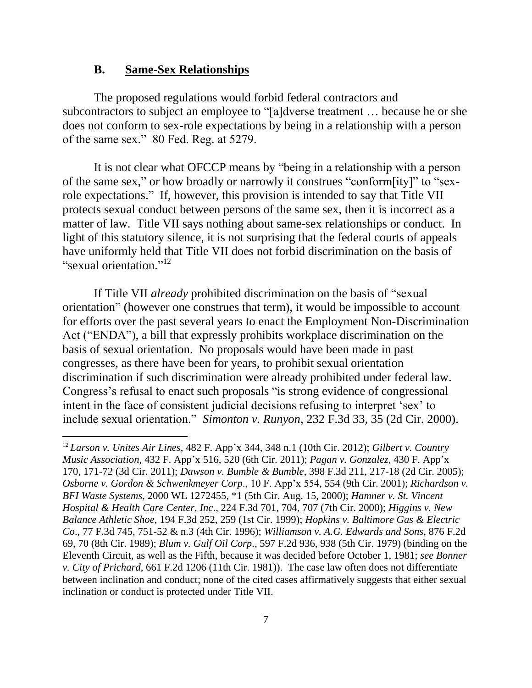#### **B. Same-Sex Relationships**

 $\overline{a}$ 

The proposed regulations would forbid federal contractors and subcontractors to subject an employee to "[a]dverse treatment … because he or she does not conform to sex-role expectations by being in a relationship with a person of the same sex." 80 Fed. Reg. at 5279.

It is not clear what OFCCP means by "being in a relationship with a person of the same sex," or how broadly or narrowly it construes "conform[ity]" to "sexrole expectations." If, however, this provision is intended to say that Title VII protects sexual conduct between persons of the same sex, then it is incorrect as a matter of law. Title VII says nothing about same-sex relationships or conduct. In light of this statutory silence, it is not surprising that the federal courts of appeals have uniformly held that Title VII does not forbid discrimination on the basis of "sexual orientation."<sup>12</sup>

If Title VII *already* prohibited discrimination on the basis of "sexual orientation" (however one construes that term), it would be impossible to account for efforts over the past several years to enact the Employment Non-Discrimination Act ("ENDA"), a bill that expressly prohibits workplace discrimination on the basis of sexual orientation. No proposals would have been made in past congresses, as there have been for years, to prohibit sexual orientation discrimination if such discrimination were already prohibited under federal law. Congress's refusal to enact such proposals "is strong evidence of congressional intent in the face of consistent judicial decisions refusing to interpret 'sex' to include sexual orientation." *Simonton v. Runyon*, 232 F.3d 33, 35 (2d Cir. 2000).

<sup>12</sup> *Larson v. Unites Air Lines*, 482 F. App'x 344, 348 n.1 (10th Cir. 2012); *Gilbert v. Country Music Association*, 432 F. App'x 516, 520 (6th Cir. 2011); *Pagan v. Gonzalez*, 430 F. App'x 170, 171-72 (3d Cir. 2011); *Dawson v. Bumble & Bumble*, 398 F.3d 211, 217-18 (2d Cir. 2005); *Osborne v. Gordon & Schwenkmeyer Corp*., 10 F. App'x 554, 554 (9th Cir. 2001); *Richardson v. BFI Waste Systems*, 2000 WL 1272455, \*1 (5th Cir. Aug. 15, 2000); *Hamner v. St. Vincent Hospital & Health Care Center, Inc*., 224 F.3d 701, 704, 707 (7th Cir. 2000); *Higgins v. New Balance Athletic Shoe*, 194 F.3d 252, 259 (1st Cir. 1999); *Hopkins v. Baltimore Gas & Electric Co*., 77 F.3d 745, 751-52 & n.3 (4th Cir. 1996); *Williamson v. A.G. Edwards and Sons*, 876 F.2d 69, 70 (8th Cir. 1989); *Blum v. Gulf Oil Corp*., 597 F.2d 936, 938 (5th Cir. 1979) (binding on the Eleventh Circuit, as well as the Fifth, because it was decided before October 1, 1981; *see Bonner v. City of Prichard*, 661 F.2d 1206 (11th Cir. 1981)). The case law often does not differentiate between inclination and conduct; none of the cited cases affirmatively suggests that either sexual inclination or conduct is protected under Title VII.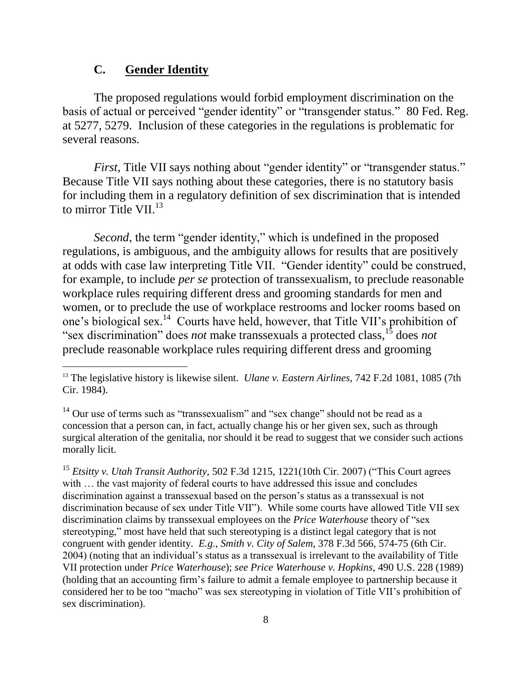# **C. Gender Identity**

 $\overline{a}$ 

The proposed regulations would forbid employment discrimination on the basis of actual or perceived "gender identity" or "transgender status." 80 Fed. Reg. at 5277, 5279. Inclusion of these categories in the regulations is problematic for several reasons.

*First*, Title VII says nothing about "gender identity" or "transgender status." Because Title VII says nothing about these categories, there is no statutory basis for including them in a regulatory definition of sex discrimination that is intended to mirror Title VII.<sup>13</sup>

*Second*, the term "gender identity," which is undefined in the proposed regulations, is ambiguous, and the ambiguity allows for results that are positively at odds with case law interpreting Title VII. "Gender identity" could be construed, for example, to include *per se* protection of transsexualism, to preclude reasonable workplace rules requiring different dress and grooming standards for men and women, or to preclude the use of workplace restrooms and locker rooms based on one's biological sex. 14 Courts have held, however, that Title VII's prohibition of "sex discrimination" does *not* make transsexuals a protected class,<sup>15</sup> does *not* preclude reasonable workplace rules requiring different dress and grooming

<sup>15</sup> *Etsitty v. Utah Transit Authority*, 502 F.3d 1215, 1221(10th Cir. 2007) ("This Court agrees with ... the vast majority of federal courts to have addressed this issue and concludes discrimination against a transsexual based on the person's status as a transsexual is not discrimination because of sex under Title VII"). While some courts have allowed Title VII sex discrimination claims by transsexual employees on the *Price Waterhouse* theory of "sex stereotyping," most have held that such stereotyping is a distinct legal category that is not congruent with gender identity. *E.g*., *Smith v. City of Salem*, 378 F.3d 566, 574-75 (6th Cir. 2004) (noting that an individual's status as a transsexual is irrelevant to the availability of Title VII protection under *Price Waterhouse*); *see Price Waterhouse v. Hopkins*, 490 U.S. 228 (1989) (holding that an accounting firm's failure to admit a female employee to partnership because it considered her to be too "macho" was sex stereotyping in violation of Title VII's prohibition of sex discrimination).

<sup>13</sup> The legislative history is likewise silent. *Ulane v. Eastern Airlines*, 742 F.2d 1081, 1085 (7th Cir. 1984).

<sup>&</sup>lt;sup>14</sup> Our use of terms such as "transsexualism" and "sex change" should not be read as a concession that a person can, in fact, actually change his or her given sex, such as through surgical alteration of the genitalia, nor should it be read to suggest that we consider such actions morally licit.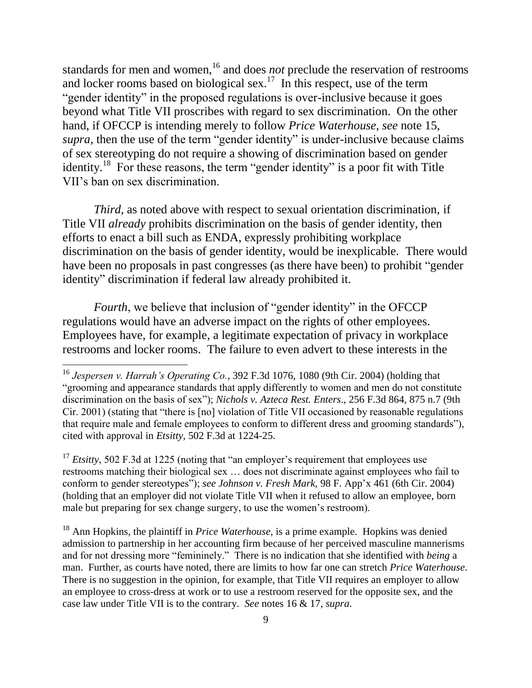standards for men and women,<sup>16</sup> and does *not* preclude the reservation of restrooms and locker rooms based on biological sex.<sup>17</sup> In this respect, use of the term "gender identity" in the proposed regulations is over-inclusive because it goes beyond what Title VII proscribes with regard to sex discrimination. On the other hand, if OFCCP is intending merely to follow *Price Waterhouse*, *see* note 15, *supra*, then the use of the term "gender identity" is under-inclusive because claims of sex stereotyping do not require a showing of discrimination based on gender identity.<sup>18</sup> For these reasons, the term "gender identity" is a poor fit with Title VII's ban on sex discrimination.

*Third*, as noted above with respect to sexual orientation discrimination, if Title VII *already* prohibits discrimination on the basis of gender identity, then efforts to enact a bill such as ENDA, expressly prohibiting workplace discrimination on the basis of gender identity, would be inexplicable. There would have been no proposals in past congresses (as there have been) to prohibit "gender identity" discrimination if federal law already prohibited it.

*Fourth*, we believe that inclusion of "gender identity" in the OFCCP regulations would have an adverse impact on the rights of other employees. Employees have, for example, a legitimate expectation of privacy in workplace restrooms and locker rooms. The failure to even advert to these interests in the

 $\overline{a}$ 

<sup>17</sup> *Etsitty*, 502 F.3d at 1225 (noting that "an employer's requirement that employees use restrooms matching their biological sex … does not discriminate against employees who fail to conform to gender stereotypes"); *see Johnson v. Fresh Mark*, 98 F. App'x 461 (6th Cir. 2004) (holding that an employer did not violate Title VII when it refused to allow an employee, born male but preparing for sex change surgery, to use the women's restroom).

<sup>18</sup> Ann Hopkins, the plaintiff in *Price Waterhouse*, is a prime example. Hopkins was denied admission to partnership in her accounting firm because of her perceived masculine mannerisms and for not dressing more "femininely." There is no indication that she identified with *being* a man. Further, as courts have noted, there are limits to how far one can stretch *Price Waterhouse*. There is no suggestion in the opinion, for example, that Title VII requires an employer to allow an employee to cross-dress at work or to use a restroom reserved for the opposite sex, and the case law under Title VII is to the contrary. *See* notes 16 & 17, *supra*.

<sup>16</sup> *Jespersen v. Harrah's Operating Co.*, 392 F.3d 1076, 1080 (9th Cir. 2004) (holding that "grooming and appearance standards that apply differently to women and men do not constitute discrimination on the basis of sex"); *Nichols v. Azteca Rest. Enters*., 256 F.3d 864, 875 n.7 (9th Cir. 2001) (stating that "there is [no] violation of Title VII occasioned by reasonable regulations that require male and female employees to conform to different dress and grooming standards"), cited with approval in *Etsitty*, 502 F.3d at 1224-25.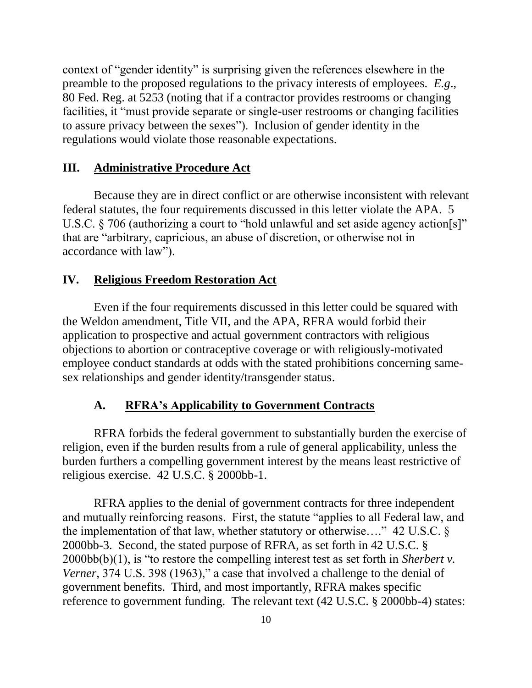context of "gender identity" is surprising given the references elsewhere in the preamble to the proposed regulations to the privacy interests of employees. *E.g*., 80 Fed. Reg. at 5253 (noting that if a contractor provides restrooms or changing facilities, it "must provide separate or single-user restrooms or changing facilities to assure privacy between the sexes"). Inclusion of gender identity in the regulations would violate those reasonable expectations.

#### **III. Administrative Procedure Act**

Because they are in direct conflict or are otherwise inconsistent with relevant federal statutes, the four requirements discussed in this letter violate the APA. 5 U.S.C. § 706 (authorizing a court to "hold unlawful and set aside agency action[s]" that are "arbitrary, capricious, an abuse of discretion, or otherwise not in accordance with law").

#### **IV. Religious Freedom Restoration Act**

Even if the four requirements discussed in this letter could be squared with the Weldon amendment, Title VII, and the APA, RFRA would forbid their application to prospective and actual government contractors with religious objections to abortion or contraceptive coverage or with religiously-motivated employee conduct standards at odds with the stated prohibitions concerning samesex relationships and gender identity/transgender status.

### **A. RFRA's Applicability to Government Contracts**

RFRA forbids the federal government to substantially burden the exercise of religion, even if the burden results from a rule of general applicability, unless the burden furthers a compelling government interest by the means least restrictive of religious exercise. 42 U.S.C. § 2000bb-1.

RFRA applies to the denial of government contracts for three independent and mutually reinforcing reasons. First, the statute "applies to all Federal law, and the implementation of that law, whether statutory or otherwise…." 42 U.S.C. § 2000bb-3. Second, the stated purpose of RFRA, as set forth in 42 U.S.C. § 2000bb(b)(1), is "to restore the compelling interest test as set forth in *Sherbert v. Verner*, 374 U.S. 398 (1963)," a case that involved a challenge to the denial of government benefits. Third, and most importantly, RFRA makes specific reference to government funding. The relevant text (42 U.S.C. § 2000bb-4) states: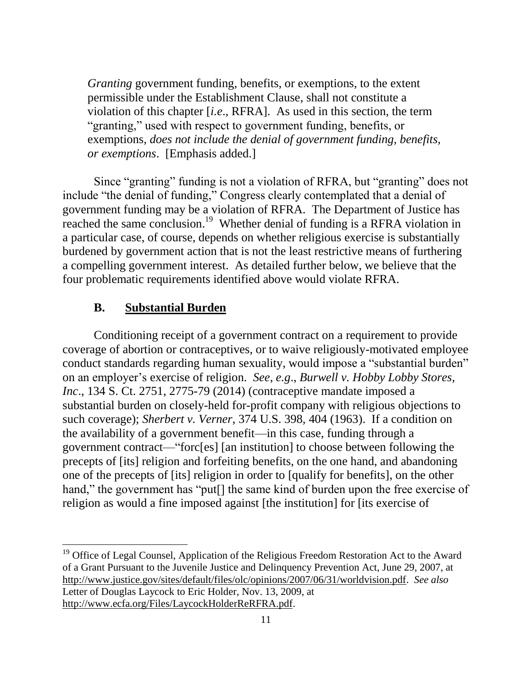*Granting* government funding, benefits, or exemptions, to the extent permissible under the Establishment Clause, shall not constitute a violation of this chapter [*i.e*., RFRA]. As used in this section, the term "granting," used with respect to government funding, benefits, or exemptions, *does not include the denial of government funding, benefits, or exemptions*. [Emphasis added.]

Since "granting" funding is not a violation of RFRA, but "granting" does not include "the denial of funding," Congress clearly contemplated that a denial of government funding may be a violation of RFRA. The Department of Justice has reached the same conclusion.<sup>19</sup> Whether denial of funding is a RFRA violation in a particular case, of course, depends on whether religious exercise is substantially burdened by government action that is not the least restrictive means of furthering a compelling government interest. As detailed further below, we believe that the four problematic requirements identified above would violate RFRA.

#### **B. Substantial Burden**

 $\overline{a}$ 

Conditioning receipt of a government contract on a requirement to provide coverage of abortion or contraceptives, or to waive religiously-motivated employee conduct standards regarding human sexuality, would impose a "substantial burden" on an employer's exercise of religion. *See*, *e.g*., *Burwell v. Hobby Lobby Stores, Inc.*, 134 S. Ct. 2751, 2775-79 (2014) (contraceptive mandate imposed a substantial burden on closely-held for-profit company with religious objections to such coverage); *Sherbert v. Verner*, 374 U.S. 398, 404 (1963). If a condition on the availability of a government benefit—in this case, funding through a government contract—"forc[es] [an institution] to choose between following the precepts of [its] religion and forfeiting benefits, on the one hand, and abandoning one of the precepts of [its] religion in order to [qualify for benefits], on the other hand," the government has "put<sup>[]</sup> the same kind of burden upon the free exercise of religion as would a fine imposed against [the institution] for [its exercise of

<sup>&</sup>lt;sup>19</sup> Office of Legal Counsel, Application of the Religious Freedom Restoration Act to the Award of a Grant Pursuant to the Juvenile Justice and Delinquency Prevention Act, June 29, 2007, at [http://www.justice.gov/sites/default/files/olc/opinions/2007/06/31/worldvision.pdf.](http://www.justice.gov/sites/default/files/olc/opinions/2007/06/31/worldvision.pdf) *See also* Letter of Douglas Laycock to Eric Holder, Nov. 13, 2009, at [http://www.ecfa.org/Files/LaycockHolderReRFRA.pdf.](http://www.ecfa.org/Files/LaycockHolderReRFRA.pdf)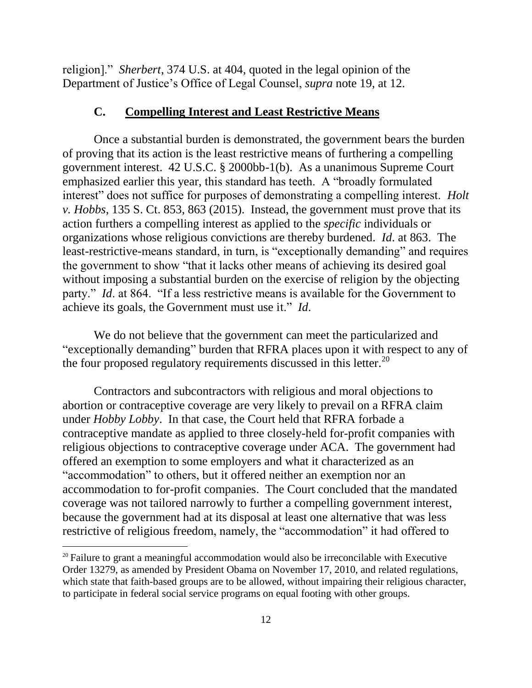religion]." *Sherbert*, 374 U.S. at 404, quoted in the legal opinion of the Department of Justice's Office of Legal Counsel, *supra* note 19, at 12.

### **C. Compelling Interest and Least Restrictive Means**

Once a substantial burden is demonstrated, the government bears the burden of proving that its action is the least restrictive means of furthering a compelling government interest. 42 U.S.C. § 2000bb-1(b). As a unanimous Supreme Court emphasized earlier this year, this standard has teeth. A "broadly formulated interest" does not suffice for purposes of demonstrating a compelling interest. *Holt v. Hobbs*, 135 S. Ct. 853, 863 (2015). Instead, the government must prove that its action furthers a compelling interest as applied to the *specific* individuals or organizations whose religious convictions are thereby burdened. *Id*. at 863. The least-restrictive-means standard, in turn, is "exceptionally demanding" and requires the government to show "that it lacks other means of achieving its desired goal without imposing a substantial burden on the exercise of religion by the objecting party." *Id*. at 864. "If a less restrictive means is available for the Government to achieve its goals, the Government must use it." *Id*.

We do not believe that the government can meet the particularized and "exceptionally demanding" burden that RFRA places upon it with respect to any of the four proposed regulatory requirements discussed in this letter. $^{20}$ 

Contractors and subcontractors with religious and moral objections to abortion or contraceptive coverage are very likely to prevail on a RFRA claim under *Hobby Lobby*. In that case, the Court held that RFRA forbade a contraceptive mandate as applied to three closely-held for-profit companies with religious objections to contraceptive coverage under ACA. The government had offered an exemption to some employers and what it characterized as an "accommodation" to others, but it offered neither an exemption nor an accommodation to for-profit companies. The Court concluded that the mandated coverage was not tailored narrowly to further a compelling government interest, because the government had at its disposal at least one alternative that was less restrictive of religious freedom, namely, the "accommodation" it had offered to

 $20$  Failure to grant a meaningful accommodation would also be irreconcilable with Executive Order 13279, as amended by President Obama on November 17, 2010, and related regulations, which state that faith-based groups are to be allowed, without impairing their religious character, to participate in federal social service programs on equal footing with other groups.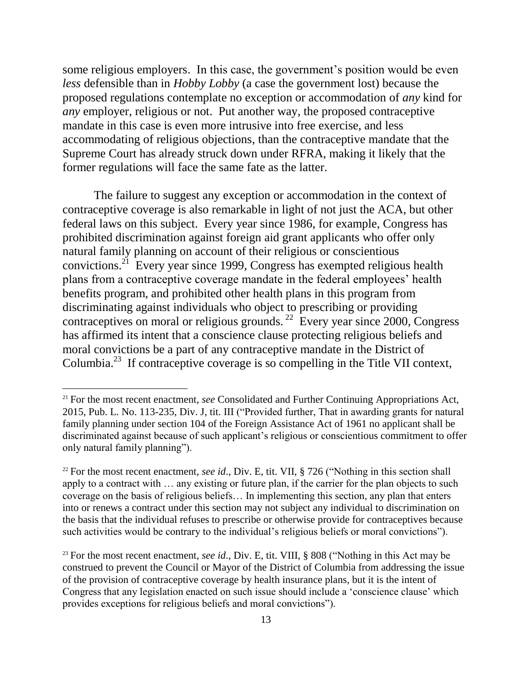some religious employers. In this case, the government's position would be even *less* defensible than in *Hobby Lobby* (a case the government lost) because the proposed regulations contemplate no exception or accommodation of *any* kind for *any* employer, religious or not. Put another way, the proposed contraceptive mandate in this case is even more intrusive into free exercise, and less accommodating of religious objections, than the contraceptive mandate that the Supreme Court has already struck down under RFRA, making it likely that the former regulations will face the same fate as the latter.

The failure to suggest any exception or accommodation in the context of contraceptive coverage is also remarkable in light of not just the ACA, but other federal laws on this subject. Every year since 1986, for example, Congress has prohibited discrimination against foreign aid grant applicants who offer only natural family planning on account of their religious or conscientious convictions.<sup>21</sup> Every year since 1999, Congress has exempted religious health plans from a contraceptive coverage mandate in the federal employees' health benefits program, and prohibited other health plans in this program from discriminating against individuals who object to prescribing or providing contraceptives on moral or religious grounds.<sup>22</sup> Every year since 2000, Congress has affirmed its intent that a conscience clause protecting religious beliefs and moral convictions be a part of any contraceptive mandate in the District of Columbia.<sup>23</sup> If contraceptive coverage is so compelling in the Title VII context,

<sup>21</sup> For the most recent enactment, *see* Consolidated and Further Continuing Appropriations Act, 2015, Pub. L. No. 113-235, Div. J, tit. III ("Provided further, That in awarding grants for natural family planning under section 104 of the Foreign Assistance Act of 1961 no applicant shall be discriminated against because of such applicant's religious or conscientious commitment to offer only natural family planning").

<sup>&</sup>lt;sup>22</sup> For the most recent enactment, *see id.*, Div. E, tit. VII, § 726 ("Nothing in this section shall apply to a contract with … any existing or future plan, if the carrier for the plan objects to such coverage on the basis of religious beliefs… In implementing this section, any plan that enters into or renews a contract under this section may not subject any individual to discrimination on the basis that the individual refuses to prescribe or otherwise provide for contraceptives because such activities would be contrary to the individual's religious beliefs or moral convictions").

<sup>&</sup>lt;sup>23</sup> For the most recent enactment, *see id.*, Div. E, tit. VIII, § 808 ("Nothing in this Act may be construed to prevent the Council or Mayor of the District of Columbia from addressing the issue of the provision of contraceptive coverage by health insurance plans, but it is the intent of Congress that any legislation enacted on such issue should include a 'conscience clause' which provides exceptions for religious beliefs and moral convictions").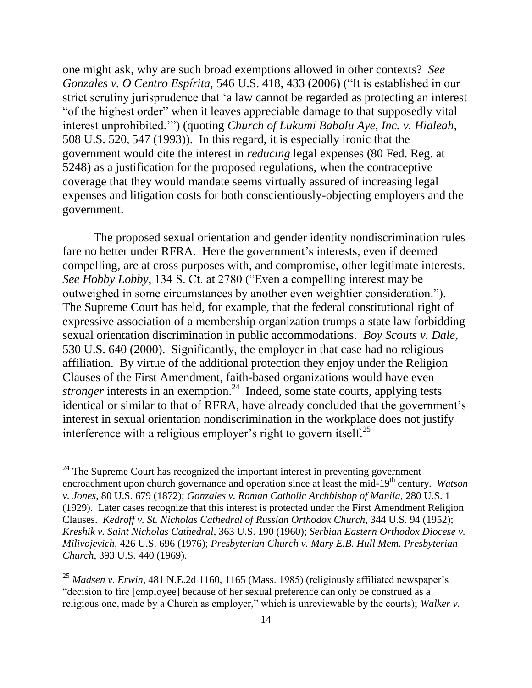one might ask, why are such broad exemptions allowed in other contexts? *See Gonzales v. O Centro Espírita,* 546 U.S. 418, 433 (2006) ("It is established in our strict scrutiny jurisprudence that 'a law cannot be regarded as protecting an interest "of the highest order" when it leaves appreciable damage to that supposedly vital interest unprohibited.'") (quoting *Church of Lukumi Babalu Aye, Inc. v. Hialeah*, 508 U.S. 520, 547 (1993)). In this regard, it is especially ironic that the government would cite the interest in *reducing* legal expenses (80 Fed. Reg. at 5248) as a justification for the proposed regulations, when the contraceptive coverage that they would mandate seems virtually assured of increasing legal expenses and litigation costs for both conscientiously-objecting employers and the government.

The proposed sexual orientation and gender identity nondiscrimination rules fare no better under RFRA. Here the government's interests, even if deemed compelling, are at cross purposes with, and compromise, other legitimate interests. *See Hobby Lobby*, 134 S. Ct. at 2780 ("Even a compelling interest may be outweighed in some circumstances by another even weightier consideration."). The Supreme Court has held, for example, that the federal constitutional right of expressive association of a membership organization trumps a state law forbidding sexual orientation discrimination in public accommodations. *Boy Scouts v. Dale*, 530 U.S. 640 (2000). Significantly, the employer in that case had no religious affiliation. By virtue of the additional protection they enjoy under the Religion Clauses of the First Amendment, faith-based organizations would have even *stronger* interests in an exemption.<sup>24</sup> Indeed, some state courts, applying tests identical or similar to that of RFRA, have already concluded that the government's interest in sexual orientation nondiscrimination in the workplace does not justify interference with a religious employer's right to govern itself.<sup>25</sup>

 $24$  The Supreme Court has recognized the important interest in preventing government encroachment upon church governance and operation since at least the mid-19<sup>th</sup> century. *Watson v. Jones*, 80 U.S. 679 (1872); *Gonzales v. Roman Catholic Archbishop of Manila*, 280 U.S. 1 (1929). Later cases recognize that this interest is protected under the First Amendment Religion Clauses. *Kedroff v. St. Nicholas Cathedral of Russian Orthodox Church*, 344 U.S. 94 (1952); *Kreshik v. Saint Nicholas Cathedral*, 363 U.S. 190 (1960); *Serbian Eastern Orthodox Diocese v. Milivojevich*, 426 U.S. 696 (1976); *Presbyterian Church v. Mary E.B. Hull Mem. Presbyterian Church*, 393 U.S. 440 (1969).

<sup>25</sup> *Madsen v. Erwin*, 481 N.E.2d 1160, 1165 (Mass. 1985) (religiously affiliated newspaper's "decision to fire [employee] because of her sexual preference can only be construed as a religious one, made by a Church as employer," which is unreviewable by the courts); *Walker v.*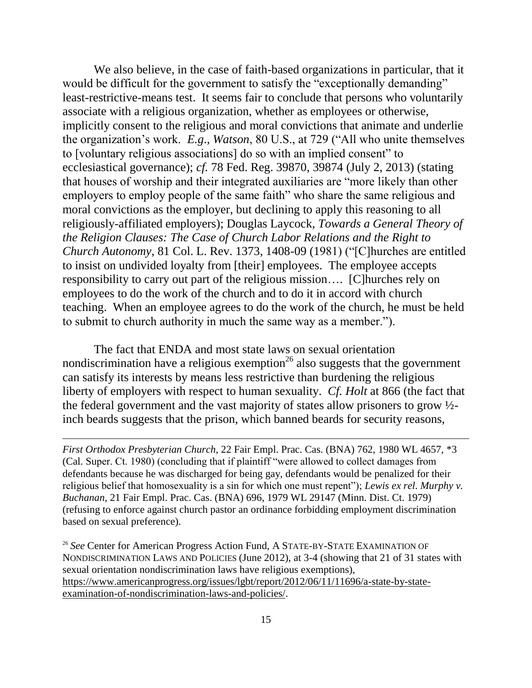We also believe, in the case of faith-based organizations in particular, that it would be difficult for the government to satisfy the "exceptionally demanding" least-restrictive-means test. It seems fair to conclude that persons who voluntarily associate with a religious organization, whether as employees or otherwise, implicitly consent to the religious and moral convictions that animate and underlie the organization's work. *E.g*., *Watson*, 80 U.S., at 729 ("All who unite themselves to [voluntary religious associations] do so with an implied consent" to ecclesiastical governance); *cf.* 78 Fed. Reg. 39870, 39874 (July 2, 2013) (stating that houses of worship and their integrated auxiliaries are "more likely than other employers to employ people of the same faith" who share the same religious and moral convictions as the employer, but declining to apply this reasoning to all religiously-affiliated employers); Douglas Laycock, *Towards a General Theory of the Religion Clauses: The Case of Church Labor Relations and the Right to Church Autonomy*, 81 Col. L. Rev. 1373, 1408-09 (1981) ("[C]hurches are entitled to insist on undivided loyalty from [their] employees. The employee accepts responsibility to carry out part of the religious mission…. [C]hurches rely on employees to do the work of the church and to do it in accord with church teaching. When an employee agrees to do the work of the church, he must be held to submit to church authority in much the same way as a member.").

The fact that ENDA and most state laws on sexual orientation nondiscrimination have a religious exemption<sup>26</sup> also suggests that the government can satisfy its interests by means less restrictive than burdening the religious liberty of employers with respect to human sexuality. *Cf. Holt* at 866 (the fact that the federal government and the vast majority of states allow prisoners to grow ½ inch beards suggests that the prison, which banned beards for security reasons,

*First Orthodox Presbyterian Church*, 22 Fair Empl. Prac. Cas. (BNA) 762, 1980 WL 4657, \*3 (Cal. Super. Ct. 1980) (concluding that if plaintiff "were allowed to collect damages from defendants because he was discharged for being gay, defendants would be penalized for their religious belief that homosexuality is a sin for which one must repent"); *Lewis ex rel*. *Murphy v. Buchanan*, 21 Fair Empl. Prac. Cas. (BNA) 696, 1979 WL 29147 (Minn. Dist. Ct. 1979) (refusing to enforce against church pastor an ordinance forbidding employment discrimination based on sexual preference).

 $\overline{a}$ 

<sup>26</sup> See Center for American Progress Action Fund, A STATE-BY-STATE EXAMINATION OF NONDISCRIMINATION LAWS AND POLICIES (June 2012), at 3-4 (showing that 21 of 31 states with sexual orientation nondiscrimination laws have religious exemptions), [https://www.americanprogress.org/issues/lgbt/report/2012/06/11/11696/a-state-by-state](https://www.americanprogress.org/issues/lgbt/report/2012/06/11/11696/a-state-by-state-examination-of-nondiscrimination-laws-and-policies/)[examination-of-nondiscrimination-laws-and-policies/.](https://www.americanprogress.org/issues/lgbt/report/2012/06/11/11696/a-state-by-state-examination-of-nondiscrimination-laws-and-policies/)